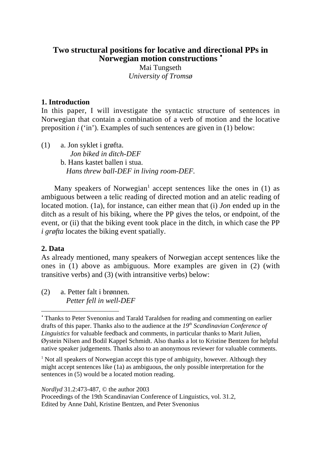# **Two structural positions for locative and directional PPs in Norwegian motion constructions** •

Mai Tungseth *University of Tromsø*

# **1. Introduction**

In this paper, I will investigate the syntactic structure of sentences in Norwegian that contain a combination of a verb of motion and the locative preposition *i* ('in'). Examples of such sentences are given in (1) below:

(1) a. Jon syklet i grøfta. *Jon biked in ditch-DEF* b. Hans kastet ballen i stua.  *Hans threw ball-DEF in living room-DEF.*

Many speakers of Norwegian<sup>1</sup> accept sentences like the ones in  $(1)$  as ambiguous between a telic reading of directed motion and an atelic reading of located motion. (1a), for instance, can either mean that (i) *Jon* ended up in the ditch as a result of his biking, where the PP gives the telos, or endpoint, of the event, or (ii) that the biking event took place in the ditch, in which case the PP *i grøfta* locates the biking event spatially.

# **2. Data**

 $\overline{a}$ 

As already mentioned, many speakers of Norwegian accept sentences like the ones in (1) above as ambiguous. More examples are given in (2) (with transitive verbs) and (3) (with intransitive verbs) below:

(2) a. Petter falt i brønnen.  *Petter fell in well-DEF*

*Nordlyd* 31.2:473-487, © the author 2003

Proceedings of the 19th Scandinavian Conference of Linguistics, vol. 31.2, Edited by Anne Dahl, Kristine Bentzen, and Peter Svenonius

<sup>•</sup> Thanks to Peter Svenonius and Tarald Taraldsen for reading and commenting on earlier drafts of this paper. Thanks also to the audience at the 19<sup>th</sup> Scandinavian Conference of *Linguistics* for valuable feedback and comments, in particular thanks to Marit Julien, Øystein Nilsen and Bodil Kappel Schmidt. Also thanks a lot to Kristine Bentzen for helpful native speaker judgements. Thanks also to an anonymous reviewer for valuable comments.

<sup>&</sup>lt;sup>1</sup> Not all speakers of Norwegian accept this type of ambiguity, however. Although they might accept sentences like (1a) as ambiguous, the only possible interpretation for the sentences in (5) would be a located motion reading.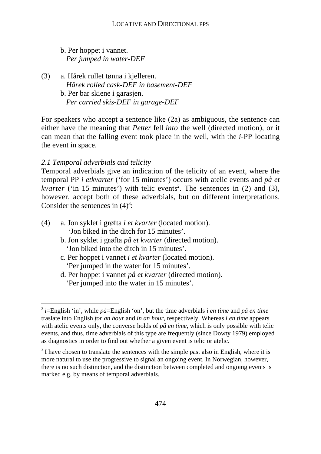b. Per hoppet i vannet.  *Per jumped in water-DEF*

(3) a. Hårek rullet tønna i kjelleren.  *Hårek rolled cask-DEF in basement-DEF* b. Per bar skiene i garasjen.  *Per carried skis-DEF in garage-DEF*

For speakers who accept a sentence like (2a) as ambiguous, the sentence can either have the meaning that *Petter* fell *into* the well (directed motion), or it can mean that the falling event took place in the well, with the *i*-PP locating the event in space.

# *2.1 Temporal adverbials and telicity*

Temporal adverbials give an indication of the telicity of an event, where the temporal PP *i etkvarter* ('for 15 minutes') occurs with atelic events and *på et kvarter* ('in 15 minutes') with telic events<sup>2</sup>. The sentences in (2) and (3), however, accept both of these adverbials, but on different interpretations. Consider the sentences in  $(4)^3$ :

- (4) a. Jon syklet i grøfta *i et kvarter* (located motion). 'Jon biked in the ditch for 15 minutes'.
	- b. Jon syklet i grøfta *på et kvarter* (directed motion). 'Jon biked into the ditch in 15 minutes'.
	- c. Per hoppet i vannet *i et kvarter* (located motion). 'Per jumped in the water for 15 minutes'.
	- d. Per hoppet i vannet *på et kvarter* (directed motion). 'Per jumped into the water in 15 minutes'.

 <sup>2</sup> *<sup>i</sup>*=English 'in', while *på*=English 'on', but the time adverbials *i en time* and *på en time* traslate into English *for an hour* and *in an hour*, respectively. Whereas *i en time* appears with atelic events only, the converse holds of *på en time*, which is only possible with telic events, and thus, time adverbials of this type are frequently (since Dowty 1979) employed as diagnostics in order to find out whether a given event is telic or atelic.

 $3$  I have chosen to translate the sentences with the simple past also in English, where it is more natural to use the progressive to signal an ongoing event. In Norwegian, however, there is no such distinction, and the distinction between completed and ongoing events is marked e.g. by means of temporal adverbials.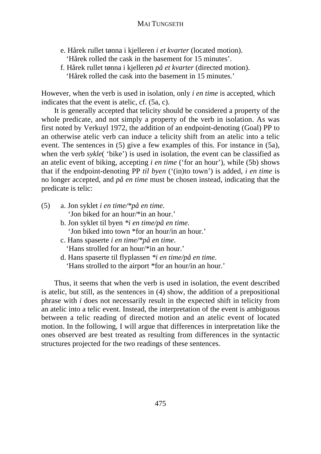- e. Hårek rullet tønna i kjelleren *i et kvarter* (located motion). 'Hårek rolled the cask in the basement for 15 minutes'.
- f. Hårek rullet tønna i kjelleren *på et kvarter* (directed motion). 'Hårek rolled the cask into the basement in 15 minutes.'

However, when the verb is used in isolation, only *i en time* is accepted, which indicates that the event is atelic, cf. (5a, c).

It is generally accepted that telicity should be considered a property of the whole predicate, and not simply a property of the verb in isolation. As was first noted by Verkuyl 1972, the addition of an endpoint-denoting (Goal) PP to an otherwise atelic verb can induce a telicity shift from an atelic into a telic event. The sentences in (5) give a few examples of this. For instance in (5a), when the verb *sykle*( 'bike') is used in isolation, the event can be classified as an atelic event of biking, accepting *i en time* ('for an hour'), while (5b) shows that if the endpoint-denoting PP *til byen* ('(in)to town') is added, *i en time* is no longer accepted, and *på en time* must be chosen instead, indicating that the predicate is telic:

- (5) a. Jon syklet *i en time/\*på en time*. 'Jon biked for an hour/\*in an hour.'
	- b. Jon syklet til byen *\*i en time/på en time.* 'Jon biked into town \*for an hour/in an hour.'
	- c. Hans spaserte *i en time/\*på en time*. 'Hans strolled for an hour/\*in an hour.'
	- d. Hans spaserte til flyplassen *\*i en time/på en time*. 'Hans strolled to the airport \*for an hour/in an hour.'

Thus, it seems that when the verb is used in isolation, the event described is atelic, but still, as the sentences in (4) show, the addition of a prepositional phrase with *i* does not necessarily result in the expected shift in telicity from an atelic into a telic event. Instead, the interpretation of the event is ambiguous between a telic reading of directed motion and an atelic event of located motion. In the following, I will argue that differences in interpretation like the ones observed are best treated as resulting from differences in the syntactic structures projected for the two readings of these sentences.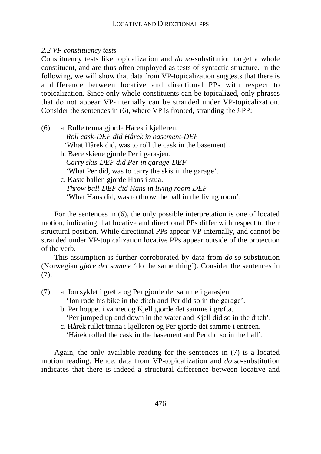## *2.2 VP constituency tests*

Constituency tests like topicalization and *do so*-substitution target a whole constituent, and are thus often employed as tests of syntactic structure. In the following, we will show that data from VP-topicalization suggests that there is a difference between locative and directional PPs with respect to topicalization. Since only whole constituents can be topicalized, only phrases that do not appear VP-internally can be stranded under VP-topicalization. Consider the sentences in (6), where VP is fronted, stranding the *i*-PP:

(6) a. Rulle tønna gjorde Hårek i kjelleren.  *Roll cask-DEF did Hårek in basement-DEF* 'What Hårek did, was to roll the cask in the basement'. b. Bære skiene gjorde Per i garasjen.  *Carry skis-DEF did Per in garage-DEF* 'What Per did, was to carry the skis in the garage'. c. Kaste ballen gjorde Hans i stua.  *Throw ball-DEF did Hans in living room-DEF* 'What Hans did, was to throw the ball in the living room'.

For the sentences in (6), the only possible interpretation is one of located motion, indicating that locative and directional PPs differ with respect to their structural position. While directional PPs appear VP-internally, and cannot be stranded under VP-topicalization locative PPs appear outside of the projection of the verb.

This assumption is further corroborated by data from *do so*-substitution (Norwegian *gjøre det samme* 'do the same thing'). Consider the sentences in  $(7):$ 

- (7) a. Jon syklet i grøfta og Per gjorde det samme i garasjen.
	- 'Jon rode his bike in the ditch and Per did so in the garage'.
	- b. Per hoppet i vannet og Kjell gjorde det samme i grøfta.
		- 'Per jumped up and down in the water and Kjell did so in the ditch'.
	- c. Hårek rullet tønna i kjelleren og Per gjorde det samme i entreen. 'Hårek rolled the cask in the basement and Per did so in the hall'.

Again, the only available reading for the sentences in (7) is a located motion reading. Hence, data from VP-topicalization and *do so*-substitution indicates that there is indeed a structural difference between locative and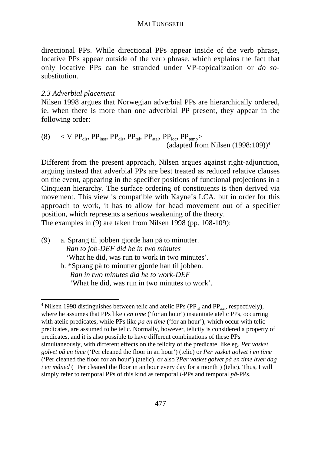directional PPs. While directional PPs appear inside of the verb phrase, locative PPs appear outside of the verb phrase, which explains the fact that only locative PPs can be stranded under VP-topicalization or *do so*substitution.

# *2.3 Adverbial placement*

Nilsen 1998 argues that Norwegian adverbial PPs are hierarchically ordered, ie. when there is more than one adverbial PP present, they appear in the following order:

(8)  $\langle$  V PP<sub>dir</sub>, PP<sub>inst</sub>, PP<sub>dir</sub>, PP<sub>tel</sub>, PP<sub>atel</sub>, PP<sub>loc</sub>, PP<sub>temp</sub>> (adapted from Nilsen  $(1998:109)^4$ )

Different from the present approach, Nilsen argues against right-adjunction, arguing instead that adverbial PPs are best treated as reduced relative clauses on the event, appearing in the specifier positions of functional projections in a Cinquean hierarchy. The surface ordering of constituents is then derived via movement. This view is compatible with Kayne's LCA, but in order for this approach to work, it has to allow for head movement out of a specifier position, which represents a serious weakening of the theory. The examples in (9) are taken from Nilsen 1998 (pp. 108-109):

(9) a. Sprang til jobben gjorde han på to minutter.  *Ran to job-DEF did he in two minutes* 'What he did, was run to work in two minutes'. b. \*Sprang på to minutter gjorde han til jobben.

*Ran in two minutes did he to work-DEF* 'What he did, was run in two minutes to work'.

 $\frac{1}{4}$ <sup>4</sup> Nilsen 1998 distinguishes between telic and atelic PPs ( $PP_{rel}$  and  $PP_{atel}$ , respectively), where he assumes that PPs like *i en time* ('for an hour') instantiate atelic PPs, occurring with atelic predicates, while PPs like *på en time* ('for an hour'), which occur with telic predicates, are assumed to be telic. Normally, however, telicity is considered a property of predicates, and it is also possible to have different combinations of these PPs simultaneously, with different effects on the telicity of the predicate, like eg. *Per vasket golvet på en time* ('Per cleaned the floor in an hour') (telic) or *Per vasket golvet i en time* ('Per cleaned the floor for an hour') (atelic), or also ?*Per vasket golvet på en time hver dag i en måned* ('Per cleaned the floor in an hour every day for a month') (telic). Thus, I will simply refer to temporal PPs of this kind as temporal *i*-PPs and temporal *på*-PPs.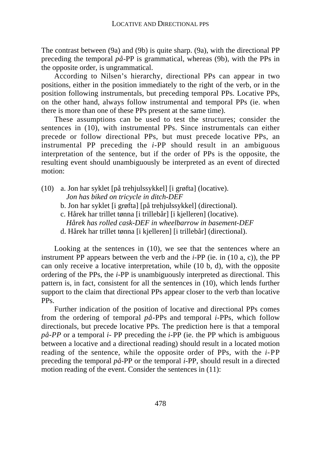The contrast between (9a) and (9b) is quite sharp. (9a), with the directional PP preceding the temporal *på*-PP is grammatical, whereas (9b), with the PPs in the opposite order, is ungrammatical.

According to Nilsen's hierarchy, directional PPs can appear in two positions, either in the position immediately to the right of the verb, or in the position following instrumentals, but preceding temporal PPs. Locative PPs, on the other hand, always follow instrumental and temporal PPs (ie. when there is more than one of these PPs present at the same time).

These assumptions can be used to test the structures; consider the sentences in (10), with instrumental PPs. Since instrumentals can either precede or follow directional PPs, but must precede locative PPs, an instrumental PP preceding the *i*-PP should result in an ambiguous interpretation of the sentence, but if the order of PPs is the opposite, the resulting event should unambiguously be interpreted as an event of directed motion:

- (10) a. Jon har syklet [på trehjulssykkel] [i grøfta] (locative).
	- *Jon has biked on tricycle in ditch-DEF*
	- b. Jon har syklet [i grøfta] [på trehjulssykkel] (directional).
	- c. Hårek har trillet tønna [i trillebår] [i kjelleren] (locative).
		- *Hårek has rolled cask-DEF in wheelbarrow in basement-DEF*
	- d. Hårek har trillet tønna [i kjelleren] [i trillebår] (directional).

Looking at the sentences in (10), we see that the sentences where an instrument PP appears between the verb and the *i*-PP (ie. in (10 a, c)), the PP can only receive a locative interpretation, while (10 b, d), with the opposite ordering of the PPs, the *i*-PP is unambiguously interpreted as directional. This pattern is, in fact, consistent for all the sentences in (10), which lends further support to the claim that directional PPs appear closer to the verb than locative PPs.

Further indication of the position of locative and directional PPs comes from the ordering of temporal *på-*PPs and temporal *i*-PPs, which follow directionals, but precede locative PPs. The prediction here is that a temporal *på-PP* or a temporal *i-* PP preceding the *i*-PP (ie. the PP which is ambiguous between a locative and a directional reading) should result in a located motion reading of the sentence, while the opposite order of PPs, with the *i*-PP preceding the temporal *på*-PP or the temporal *i*-PP, should result in a directed motion reading of the event. Consider the sentences in (11):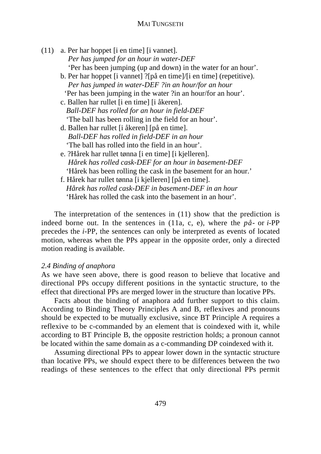(11) a. Per har hoppet [i en time] [i vannet].  *Per has jumped for an hour in water-DEF* 'Per has been jumping (up and down) in the water for an hour'. b. Per har hoppet [i vannet] ?[på en time]/[i en time] (repetitive).  *Per has jumped in water-DEF ?in an hour/for an hour* 'Per has been jumping in the water ?in an hour/for an hour'. c. Ballen har rullet [i en time] [i åkeren].  *Ball-DEF has rolled for an hour in field-DEF* 'The ball has been rolling in the field for an hour'. d. Ballen har rullet [i åkeren] [på en time].  *Ball-DEF has rolled in field-DEF in an hour* 'The ball has rolled into the field in an hour'. e. ?Hårek har rullet tønna [i en time] [i kjelleren].  *Hårek has rolled cask-DEF for an hour in basement-DEF* 'Hårek has been rolling the cask in the basement for an hour.' f. Hårek har rullet tønna [i kjelleren] [på en time].  *Hårek has rolled cask-DEF in basement-DEF in an hour*

'Hårek has rolled the cask into the basement in an hour'.

The interpretation of the sentences in (11) show that the prediction is indeed borne out. In the sentences in (11a, c, e), where the *på-* or *i*-PP precedes the *i*-PP, the sentences can only be interpreted as events of located motion, whereas when the PPs appear in the opposite order, only a directed motion reading is available.

### *2.4 Binding of anaphora*

As we have seen above, there is good reason to believe that locative and directional PPs occupy different positions in the syntactic structure, to the effect that directional PPs are merged lower in the structure than locative PPs.

Facts about the binding of anaphora add further support to this claim. According to Binding Theory Principles A and B, reflexives and pronouns should be expected to be mutually exclusive, since BT Principle A requires a reflexive to be c-commanded by an element that is coindexed with it, while according to BT Principle B, the opposite restriction holds; a pronoun cannot be located within the same domain as a c-commanding DP coindexed with it.

Assuming directional PPs to appear lower down in the syntactic structure than locative PPs, we should expect there to be differences between the two readings of these sentences to the effect that only directional PPs permit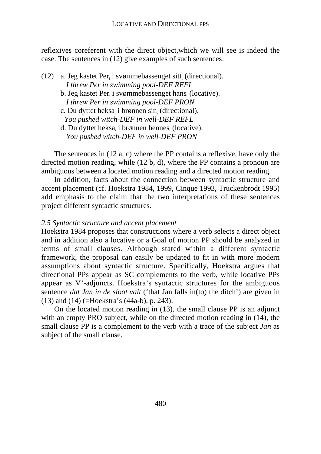reflexives coreferent with the direct object,which we will see is indeed the case. The sentences in (12) give examples of such sentences:

 $(12)$  a. Jeg kastet Per<sub>i</sub> i svømmebassenget sitt<sub>i</sub> (directional).  *I threw Per in swimming pool-DEF REFL* b. Jeg kastet Per<sub>i</sub> i svømmebassenget hans<sub>i</sub> (locative).  *I threw Per in swimming pool-DEF PRON* c. Du dyttet heksa<sub>i</sub> i brønnen sin<sub>i</sub> (directional).  *You pushed witch-DEF in well-DEF REFL*

d. Du dyttet heksa<sub>i</sub> i brønnen hennes<sub>i</sub> (locative).  *You pushed witch-DEF in well-DEF PRON*

The sentences in (12 a, c) where the PP contains a reflexive, have only the directed motion reading, while (12 b, d), where the PP contains a pronoun are ambiguous between a located motion reading and a directed motion reading.

In addition, facts about the connection between syntactic structure and accent placement (cf. Hoekstra 1984, 1999, Cinque 1993, Truckenbrodt 1995) add emphasis to the claim that the two interpretations of these sentences project different syntactic structures.

## *2.5 Syntactic structure and accent placement*

Hoekstra 1984 proposes that constructions where a verb selects a direct object and in addition also a locative or a Goal of motion PP should be analyzed in terms of small clauses. Although stated within a different syntactic framework, the proposal can easily be updated to fit in with more modern assumptions about syntactic structure. Specifically, Hoekstra argues that directional PPs appear as SC complements to the verb, while locative PPs appear as V'-adjuncts. Hoekstra's syntactic structures for the ambiguous sentence *dat Jan in de sloot valt* ('that Jan falls in(to) the ditch') are given in (13) and (14) (=Hoekstra's (44a-b), p. 243):

On the located motion reading in (13), the small clause PP is an adjunct with an empty PRO subject, while on the directed motion reading in (14), the small clause PP is a complement to the verb with a trace of the subject *Jan* as subject of the small clause.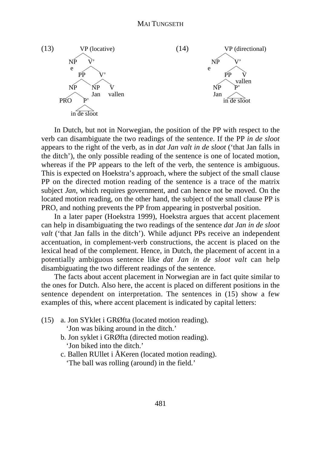

In Dutch, but not in Norwegian, the position of the PP with respect to the verb can disambiguate the two readings of the sentence. If the PP *in de sloot* appears to the right of the verb, as in *dat Jan valt in de sloot* ('that Jan falls in the ditch'), the only possible reading of the sentence is one of located motion, whereas if the PP appears to the left of the verb, the sentence is ambiguous. This is expected on Hoekstra's approach, where the subject of the small clause PP on the directed motion reading of the sentence is a trace of the matrix subject *Jan*, which requires government, and can hence not be moved. On the located motion reading, on the other hand, the subject of the small clause PP is PRO, and nothing prevents the PP from appearing in postverbal position.

In a later paper (Hoekstra 1999), Hoekstra argues that accent placement can help in disambiguating the two readings of the sentence *dat Jan in de sloot valt* ('that Jan falls in the ditch'). While adjunct PPs receive an independent accentuation, in complement-verb constructions, the accent is placed on the lexical head of the complement. Hence, in Dutch, the placement of accent in a potentially ambiguous sentence like *dat Jan in de sloot valt* can help disambiguating the two different readings of the sentence.

The facts about accent placement in Norwegian are in fact quite similar to the ones for Dutch. Also here, the accent is placed on different positions in the sentence dependent on interpretation. The sentences in (15) show a few examples of this, where accent placement is indicated by capital letters:

(15) a. Jon SYklet i GRØfta (located motion reading).

'Jon was biking around in the ditch.'

- b. Jon syklet i GRØfta (directed motion reading). 'Jon biked into the ditch.'
- c. Ballen RUllet i ÅKeren (located motion reading). 'The ball was rolling (around) in the field.'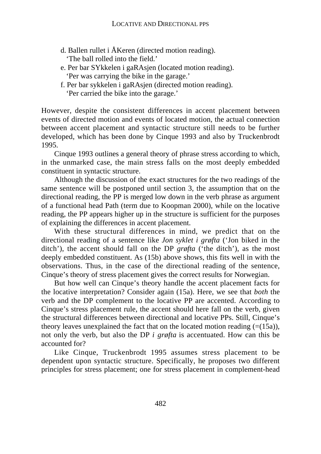- d. Ballen rullet i ÅKeren (directed motion reading). 'The ball rolled into the field.'
- e. Per bar SYkkelen i gaRAsjen (located motion reading). 'Per was carrying the bike in the garage.'
- f. Per bar sykkelen i gaRAsjen (directed motion reading). 'Per carried the bike into the garage.'

However, despite the consistent differences in accent placement between events of directed motion and events of located motion, the actual connection between accent placement and syntactic structure still needs to be further developed, which has been done by Cinque 1993 and also by Truckenbrodt 1995.

Cinque 1993 outlines a general theory of phrase stress according to which, in the unmarked case, the main stress falls on the most deeply embedded constituent in syntactic structure.

Although the discussion of the exact structures for the two readings of the same sentence will be postponed until section 3, the assumption that on the directional reading, the PP is merged low down in the verb phrase as argument of a functional head Path (term due to Koopman 2000), while on the locative reading, the PP appears higher up in the structure is sufficient for the purposes of explaining the differences in accent placement.

With these structural differences in mind, we predict that on the directional reading of a sentence like *Jon syklet i grøfta* ('Jon biked in the ditch'), the accent should fall on the DP *grøfta* ('the ditch'), as the most deeply embedded constituent. As (15b) above shows, this fits well in with the observations. Thus, in the case of the directional reading of the sentence, Cinque's theory of stress placement gives the correct results for Norwegian.

But how well can Cinque's theory handle the accent placement facts for the locative interpretation? Consider again (15a). Here, we see that *both* the verb and the DP complement to the locative PP are accented. According to Cinque's stress placement rule, the accent should here fall on the verb, given the structural differences between directional and locative PPs. Still, Cinque's theory leaves unexplained the fact that on the located motion reading  $(=(15a))$ , not only the verb, but also the DP *i grøfta* is accentuated. How can this be accounted for?

Like Cinque, Truckenbrodt 1995 assumes stress placement to be dependent upon syntactic structure. Specifically, he proposes two different principles for stress placement; one for stress placement in complement-head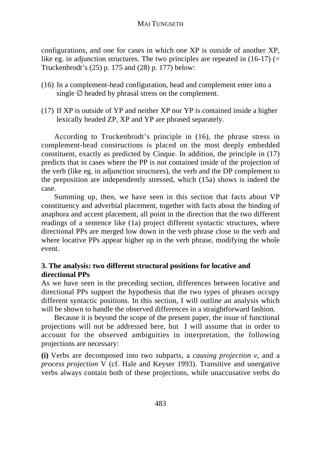configurations, and one for cases in which one XP is outside of another XP, like eg. in adjunction structures. The two principles are repeated in  $(16-17)$  (= Truckenbrodt's (25) p. 175 and (28) p. 177) below:

- (16) In a complement-head configuration, head and complement enter into a single  $\varnothing$  headed by phrasal stress on the complement.
- (17) If XP is outside of YP and neither XP nor YP is contained inside a higher lexically headed ZP, XP and YP are phrased separately.

According to Truckenbrodt's principle in (16), the phrase stress in complement-head constructions is placed on the most deeply embedded constituent, exactly as predicted by Cinque. In addition, the principle in (17) predicts that in cases where the PP is not contained inside of the projection of the verb (like eg. in adjunction structures), the verb and the DP complement to the preposition are independently stressed, which (15a) shows is indeed the case.

Summing up, then, we have seen in this section that facts about VP constituency and adverbial placement, together with facts about the binding of anaphora and accent placement, all point in the direction that the two different readings of a sentence like (1a) project different syntactic structures, where directional PPs are merged low down in the verb phrase close to the verb and where locative PPs appear higher up in the verb phrase, modifying the whole event.

# **3. The analysis: two different structural positions for locative and directional PPs**

As we have seen in the preceding section, differences between locative and directional PPs support the hypothesis that the two types of phrases occupy different syntactic positions. In this section, I will outline an analysis which will be shown to handle the observed differences in a straightforward fashion.

Because it is beyond the scope of the present paper, the issue of functional projections will not be addressed here, but I will assume that in order to account for the observed ambiguities in interpretation, the following projections are necessary:

**(i)** Verbs are decomposed into two subparts, a *causing projection v*, and a *process projection* V (cf. Hale and Keyser 1993). Transitive and unergative verbs always contain both of these projections, while unaccusative verbs do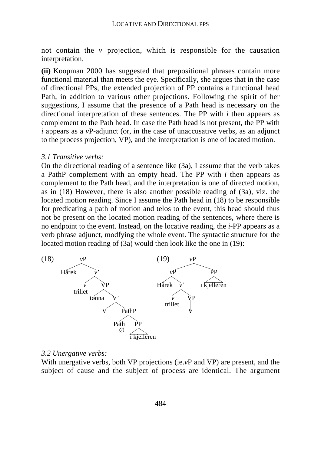not contain the *v* projection, which is responsible for the causation interpretation.

**(ii)** Koopman 2000 has suggested that prepositional phrases contain more functional material than meets the eye. Specifically, she argues that in the case of directional PPs, the extended projection of PP contains a functional head Path, in addition to various other projections. Following the spirit of her suggestions, I assume that the presence of a Path head is necessary on the directional interpretation of these sentences. The PP with *i* then appears as complement to the Path head. In case the Path head is not present, the PP with *i* appears as a *v*P-adjunct (or, in the case of unaccusative verbs, as an adjunct to the process projection, VP), and the interpretation is one of located motion.

#### *3.1 Transitive verbs:*

On the directional reading of a sentence like (3a), I assume that the verb takes a PathP complement with an empty head. The PP with *i* then appears as complement to the Path head, and the interpretation is one of directed motion, as in (18) However, there is also another possible reading of (3a), viz. the located motion reading. Since I assume the Path head in (18) to be responsible for predicating a path of motion and telos to the event, this head should thus not be present on the located motion reading of the sentences, where there is no endpoint to the event. Instead, on the locative reading, the *i*-PP appears as a verb phrase adjunct, modfying the whole event. The syntactic structure for the located motion reading of (3a) would then look like the one in (19):



#### *3.2 Unergative verbs:*

With unergative verbs, both VP projections (ie.  $vP$  and VP) are present, and the subject of cause and the subject of process are identical. The argument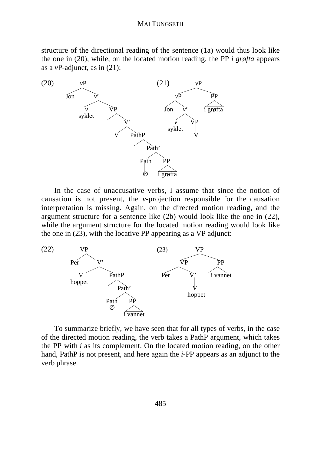structure of the directional reading of the sentence (1a) would thus look like the one in (20), while, on the located motion reading, the PP *i grøfta* appears as a *v*P-adjunct, as in (21):



In the case of unaccusative verbs, I assume that since the notion of causation is not present, the *v*-projection responsible for the causation interpretation is missing. Again, on the directed motion reading, and the argument structure for a sentence like (2b) would look like the one in (22), while the argument structure for the located motion reading would look like the one in (23), with the locative PP appearing as a VP adjunct:



To summarize briefly, we have seen that for all types of verbs, in the case of the directed motion reading, the verb takes a PathP argument, which takes the PP with *i* as its complement. On the located motion reading, on the other hand, PathP is not present, and here again the *i*-PP appears as an adjunct to the verb phrase.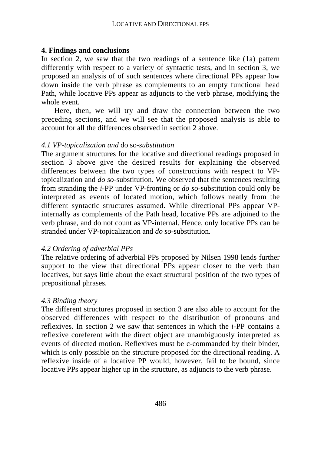## **4. Findings and conclusions**

In section 2, we saw that the two readings of a sentence like (1a) pattern differently with respect to a variety of syntactic tests, and in section 3, we proposed an analysis of of such sentences where directional PPs appear low down inside the verb phrase as complements to an empty functional head Path, while locative PPs appear as adjuncts to the verb phrase, modifying the whole event.

Here, then, we will try and draw the connection between the two preceding sections, and we will see that the proposed analysis is able to account for all the differences observed in section 2 above.

### *4.1 VP-topicalization and* do so*-substitution*

The argument structures for the locative and directional readings proposed in section 3 above give the desired results for explaining the observed differences between the two types of constructions with respect to VPtopicalization and *do so*-substitution. We observed that the sentences resulting from stranding the *i*-PP under VP-fronting or *do so*-substitution could only be interpreted as events of located motion, which follows neatly from the different syntactic structures assumed. While directional PPs appear VPinternally as complements of the Path head, locative PPs are adjoined to the verb phrase, and do not count as VP-internal. Hence, only locative PPs can be stranded under VP-topicalization and *do so*-substitution.

## *4.2 Ordering of adverbial PPs*

The relative ordering of adverbial PPs proposed by Nilsen 1998 lends further support to the view that directional PPs appear closer to the verb than locatives, but says little about the exact structural position of the two types of prepositional phrases.

## *4.3 Binding theory*

The different structures proposed in section 3 are also able to account for the observed differences with respect to the distribution of pronouns and reflexives. In section 2 we saw that sentences in which the *i*-PP contains a reflexive coreferent with the direct object are unambiguously interpreted as events of directed motion. Reflexives must be c-commanded by their binder, which is only possible on the structure proposed for the directional reading. A reflexive inside of a locative PP would, however, fail to be bound, since locative PPs appear higher up in the structure, as adjuncts to the verb phrase.